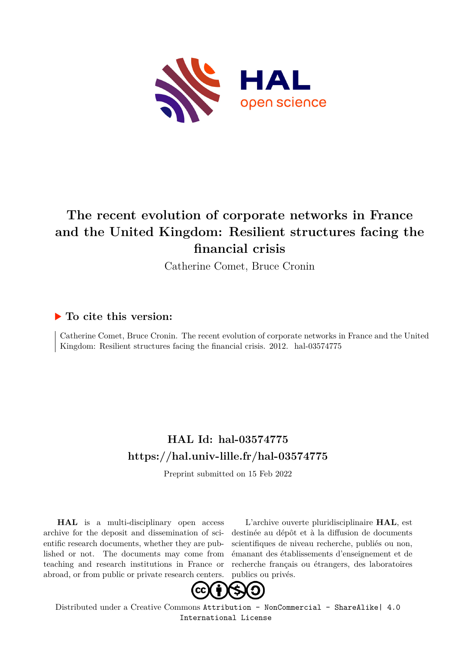

# **The recent evolution of corporate networks in France and the United Kingdom: Resilient structures facing the financial crisis**

Catherine Comet, Bruce Cronin

## **To cite this version:**

Catherine Comet, Bruce Cronin. The recent evolution of corporate networks in France and the United Kingdom: Resilient structures facing the financial crisis. 2012. hal-03574775

## **HAL Id: hal-03574775 <https://hal.univ-lille.fr/hal-03574775>**

Preprint submitted on 15 Feb 2022

**HAL** is a multi-disciplinary open access archive for the deposit and dissemination of scientific research documents, whether they are published or not. The documents may come from teaching and research institutions in France or abroad, or from public or private research centers.

L'archive ouverte pluridisciplinaire **HAL**, est destinée au dépôt et à la diffusion de documents scientifiques de niveau recherche, publiés ou non, émanant des établissements d'enseignement et de recherche français ou étrangers, des laboratoires publics ou privés.



Distributed under a Creative Commons [Attribution - NonCommercial - ShareAlike| 4.0](http://creativecommons.org/licenses/by-nc-sa/4.0/) [International License](http://creativecommons.org/licenses/by-nc-sa/4.0/)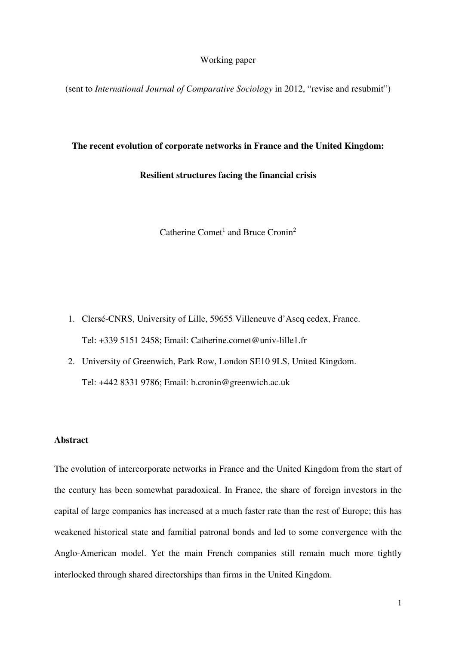#### Working paper

(sent to *International Journal of Comparative Sociology* in 2012, "revise and resubmit")

## **The recent evolution of corporate networks in France and the United Kingdom:**

**Resilient structures facing the financial crisis** 

Catherine Comet<sup>1</sup> and Bruce Cronin<sup>2</sup>

- 1. Clersé-CNRS, University of Lille, 59655 Villeneuve d'Ascq cedex, France. Tel: +339 5151 2458; Email: Catherine.comet@univ-lille1.fr
- 2. University of Greenwich, Park Row, London SE10 9LS, United Kingdom. Tel: +442 8331 9786; Email: b.cronin@greenwich.ac.uk

#### **Abstract**

The evolution of intercorporate networks in France and the United Kingdom from the start of the century has been somewhat paradoxical. In France, the share of foreign investors in the capital of large companies has increased at a much faster rate than the rest of Europe; this has weakened historical state and familial patronal bonds and led to some convergence with the Anglo-American model. Yet the main French companies still remain much more tightly interlocked through shared directorships than firms in the United Kingdom.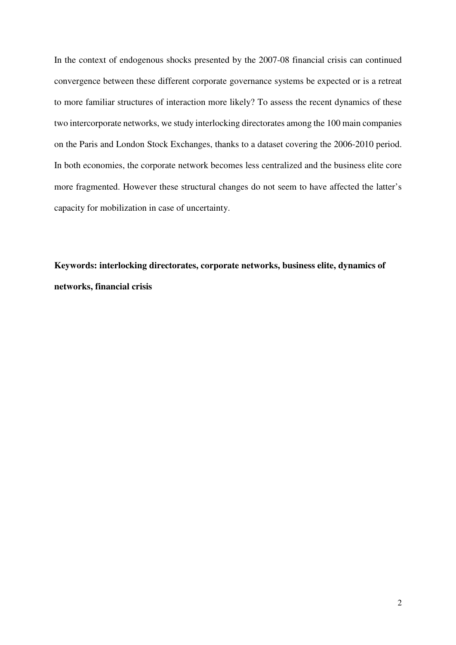In the context of endogenous shocks presented by the 2007-08 financial crisis can continued convergence between these different corporate governance systems be expected or is a retreat to more familiar structures of interaction more likely? To assess the recent dynamics of these two intercorporate networks, we study interlocking directorates among the 100 main companies on the Paris and London Stock Exchanges, thanks to a dataset covering the 2006-2010 period. In both economies, the corporate network becomes less centralized and the business elite core more fragmented. However these structural changes do not seem to have affected the latter's capacity for mobilization in case of uncertainty.

**Keywords: interlocking directorates, corporate networks, business elite, dynamics of networks, financial crisis**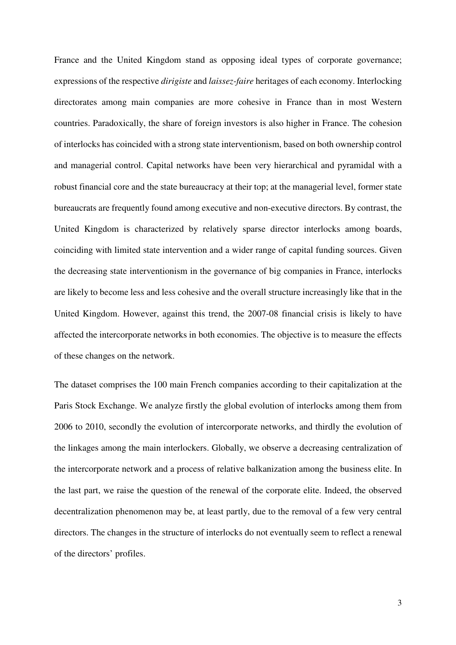France and the United Kingdom stand as opposing ideal types of corporate governance; expressions of the respective *dirigiste* and *laissez-faire* heritages of each economy. Interlocking directorates among main companies are more cohesive in France than in most Western countries. Paradoxically, the share of foreign investors is also higher in France. The cohesion of interlocks has coincided with a strong state interventionism, based on both ownership control and managerial control. Capital networks have been very hierarchical and pyramidal with a robust financial core and the state bureaucracy at their top; at the managerial level, former state bureaucrats are frequently found among executive and non-executive directors. By contrast, the United Kingdom is characterized by relatively sparse director interlocks among boards, coinciding with limited state intervention and a wider range of capital funding sources. Given the decreasing state interventionism in the governance of big companies in France, interlocks are likely to become less and less cohesive and the overall structure increasingly like that in the United Kingdom. However, against this trend, the 2007-08 financial crisis is likely to have affected the intercorporate networks in both economies. The objective is to measure the effects of these changes on the network.

The dataset comprises the 100 main French companies according to their capitalization at the Paris Stock Exchange. We analyze firstly the global evolution of interlocks among them from 2006 to 2010, secondly the evolution of intercorporate networks, and thirdly the evolution of the linkages among the main interlockers. Globally, we observe a decreasing centralization of the intercorporate network and a process of relative balkanization among the business elite. In the last part, we raise the question of the renewal of the corporate elite. Indeed, the observed decentralization phenomenon may be, at least partly, due to the removal of a few very central directors. The changes in the structure of interlocks do not eventually seem to reflect a renewal of the directors' profiles.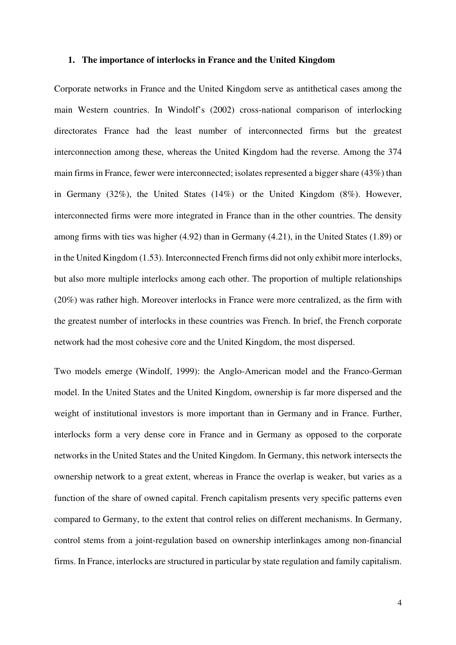#### **1. The importance of interlocks in France and the United Kingdom**

Corporate networks in France and the United Kingdom serve as antithetical cases among the main Western countries. In Windolf's (2002) cross-national comparison of interlocking directorates France had the least number of interconnected firms but the greatest interconnection among these, whereas the United Kingdom had the reverse. Among the 374 main firms in France, fewer were interconnected; isolates represented a bigger share (43%) than in Germany (32%), the United States (14%) or the United Kingdom (8%). However, interconnected firms were more integrated in France than in the other countries. The density among firms with ties was higher (4.92) than in Germany (4.21), in the United States (1.89) or in the United Kingdom (1.53). Interconnected French firms did not only exhibit more interlocks, but also more multiple interlocks among each other. The proportion of multiple relationships (20%) was rather high. Moreover interlocks in France were more centralized, as the firm with the greatest number of interlocks in these countries was French. In brief, the French corporate network had the most cohesive core and the United Kingdom, the most dispersed.

Two models emerge (Windolf, 1999): the Anglo-American model and the Franco-German model. In the United States and the United Kingdom, ownership is far more dispersed and the weight of institutional investors is more important than in Germany and in France. Further, interlocks form a very dense core in France and in Germany as opposed to the corporate networks in the United States and the United Kingdom. In Germany, this network intersects the ownership network to a great extent, whereas in France the overlap is weaker, but varies as a function of the share of owned capital. French capitalism presents very specific patterns even compared to Germany, to the extent that control relies on different mechanisms. In Germany, control stems from a joint-regulation based on ownership interlinkages among non-financial firms. In France, interlocks are structured in particular by state regulation and family capitalism.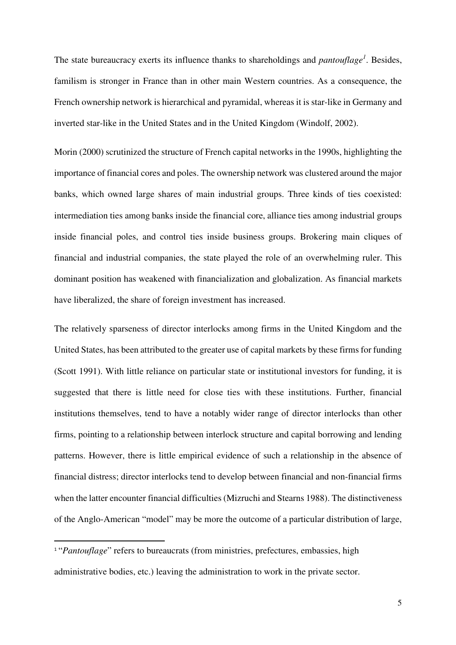The state bureaucracy exerts its influence thanks to shareholdings and *pantouflage<sup>1</sup>* . Besides, familism is stronger in France than in other main Western countries. As a consequence, the French ownership network is hierarchical and pyramidal, whereas it is star-like in Germany and inverted star-like in the United States and in the United Kingdom (Windolf, 2002).

Morin (2000) scrutinized the structure of French capital networks in the 1990s, highlighting the importance of financial cores and poles. The ownership network was clustered around the major banks, which owned large shares of main industrial groups. Three kinds of ties coexisted: intermediation ties among banks inside the financial core, alliance ties among industrial groups inside financial poles, and control ties inside business groups. Brokering main cliques of financial and industrial companies, the state played the role of an overwhelming ruler. This dominant position has weakened with financialization and globalization. As financial markets have liberalized, the share of foreign investment has increased.

The relatively sparseness of director interlocks among firms in the United Kingdom and the United States, has been attributed to the greater use of capital markets by these firms for funding (Scott 1991). With little reliance on particular state or institutional investors for funding, it is suggested that there is little need for close ties with these institutions. Further, financial institutions themselves, tend to have a notably wider range of director interlocks than other firms, pointing to a relationship between interlock structure and capital borrowing and lending patterns. However, there is little empirical evidence of such a relationship in the absence of financial distress; director interlocks tend to develop between financial and non-financial firms when the latter encounter financial difficulties (Mizruchi and Stearns 1988). The distinctiveness of the Anglo-American "model" may be more the outcome of a particular distribution of large,

 $\overline{a}$ 

<sup>&</sup>lt;sup>1</sup> "*Pantouflage*" refers to bureaucrats (from ministries, prefectures, embassies, high administrative bodies, etc.) leaving the administration to work in the private sector.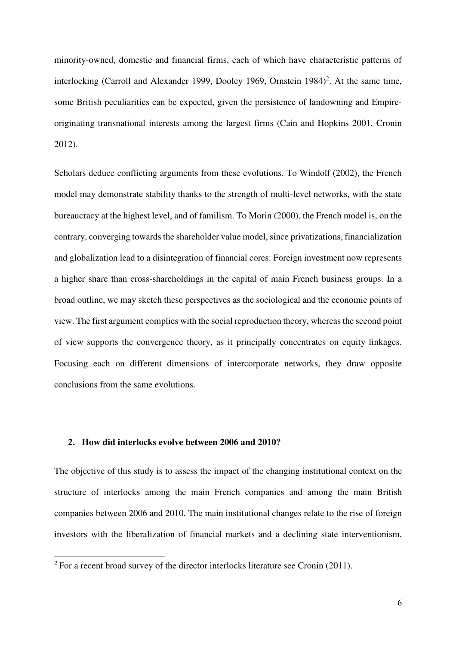minority-owned, domestic and financial firms, each of which have characteristic patterns of interlocking (Carroll and Alexander 1999, Dooley 1969, Ornstein 1984)<sup>2</sup>. At the same time, some British peculiarities can be expected, given the persistence of landowning and Empireoriginating transnational interests among the largest firms (Cain and Hopkins 2001, Cronin 2012).

Scholars deduce conflicting arguments from these evolutions. To Windolf (2002), the French model may demonstrate stability thanks to the strength of multi-level networks, with the state bureaucracy at the highest level, and of familism. To Morin (2000), the French model is, on the contrary, converging towards the shareholder value model, since privatizations, financialization and globalization lead to a disintegration of financial cores: Foreign investment now represents a higher share than cross-shareholdings in the capital of main French business groups. In a broad outline, we may sketch these perspectives as the sociological and the economic points of view. The first argument complies with the social reproduction theory, whereas the second point of view supports the convergence theory, as it principally concentrates on equity linkages. Focusing each on different dimensions of intercorporate networks, they draw opposite conclusions from the same evolutions.

### **2. How did interlocks evolve between 2006 and 2010?**

 $\overline{a}$ 

The objective of this study is to assess the impact of the changing institutional context on the structure of interlocks among the main French companies and among the main British companies between 2006 and 2010. The main institutional changes relate to the rise of foreign investors with the liberalization of financial markets and a declining state interventionism,

<sup>&</sup>lt;sup>2</sup> For a recent broad survey of the director interlocks literature see Cronin (2011).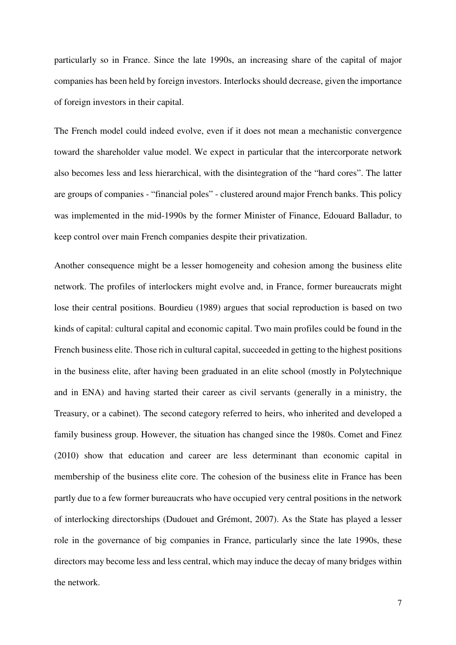particularly so in France. Since the late 1990s, an increasing share of the capital of major companies has been held by foreign investors. Interlocks should decrease, given the importance of foreign investors in their capital.

The French model could indeed evolve, even if it does not mean a mechanistic convergence toward the shareholder value model. We expect in particular that the intercorporate network also becomes less and less hierarchical, with the disintegration of the "hard cores". The latter are groups of companies - "financial poles" - clustered around major French banks. This policy was implemented in the mid-1990s by the former Minister of Finance, Edouard Balladur, to keep control over main French companies despite their privatization.

Another consequence might be a lesser homogeneity and cohesion among the business elite network. The profiles of interlockers might evolve and, in France, former bureaucrats might lose their central positions. Bourdieu (1989) argues that social reproduction is based on two kinds of capital: cultural capital and economic capital. Two main profiles could be found in the French business elite. Those rich in cultural capital, succeeded in getting to the highest positions in the business elite, after having been graduated in an elite school (mostly in Polytechnique and in ENA) and having started their career as civil servants (generally in a ministry, the Treasury, or a cabinet). The second category referred to heirs, who inherited and developed a family business group. However, the situation has changed since the 1980s. Comet and Finez (2010) show that education and career are less determinant than economic capital in membership of the business elite core. The cohesion of the business elite in France has been partly due to a few former bureaucrats who have occupied very central positions in the network of interlocking directorships (Dudouet and Grémont, 2007). As the State has played a lesser role in the governance of big companies in France, particularly since the late 1990s, these directors may become less and less central, which may induce the decay of many bridges within the network.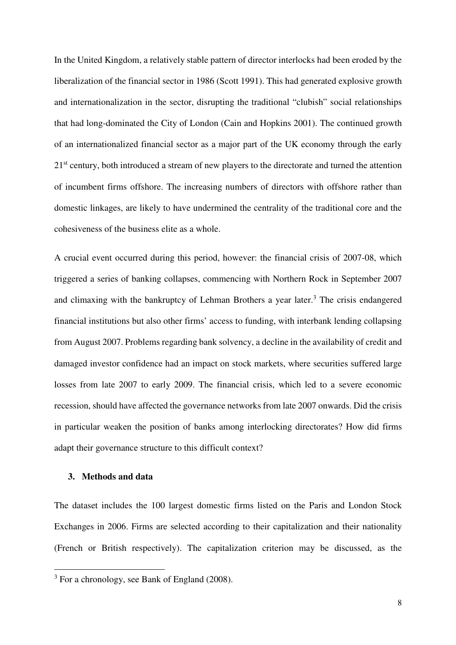In the United Kingdom, a relatively stable pattern of director interlocks had been eroded by the liberalization of the financial sector in 1986 (Scott 1991). This had generated explosive growth and internationalization in the sector, disrupting the traditional "clubish" social relationships that had long-dominated the City of London (Cain and Hopkins 2001). The continued growth of an internationalized financial sector as a major part of the UK economy through the early 21<sup>st</sup> century, both introduced a stream of new players to the directorate and turned the attention of incumbent firms offshore. The increasing numbers of directors with offshore rather than domestic linkages, are likely to have undermined the centrality of the traditional core and the cohesiveness of the business elite as a whole.

A crucial event occurred during this period, however: the financial crisis of 2007-08, which triggered a series of banking collapses, commencing with Northern Rock in September 2007 and climaxing with the bankruptcy of Lehman Brothers a year later.<sup>3</sup> The crisis endangered financial institutions but also other firms' access to funding, with interbank lending collapsing from August 2007. Problems regarding bank solvency, a decline in the availability of credit and damaged investor confidence had an impact on stock markets, where securities suffered large losses from late 2007 to early 2009. The financial crisis, which led to a severe economic recession, should have affected the governance networks from late 2007 onwards. Did the crisis in particular weaken the position of banks among interlocking directorates? How did firms adapt their governance structure to this difficult context?

## **3. Methods and data**

l

The dataset includes the 100 largest domestic firms listed on the Paris and London Stock Exchanges in 2006. Firms are selected according to their capitalization and their nationality (French or British respectively). The capitalization criterion may be discussed, as the

 $3$  For a chronology, see Bank of England (2008).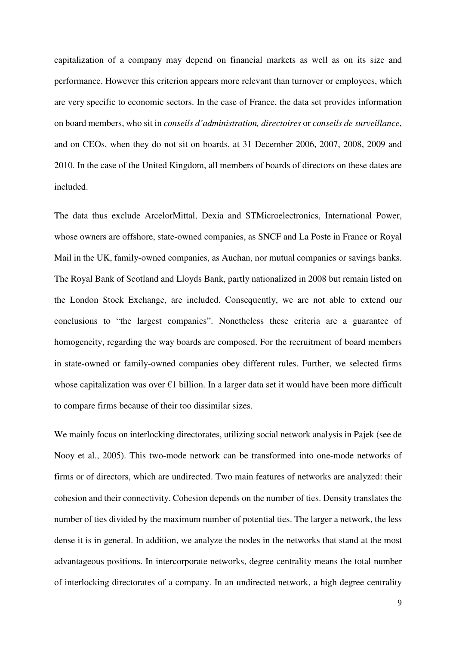capitalization of a company may depend on financial markets as well as on its size and performance. However this criterion appears more relevant than turnover or employees, which are very specific to economic sectors. In the case of France, the data set provides information on board members, who sit in *conseils d'administration, directoires* or *conseils de surveillance*, and on CEOs, when they do not sit on boards, at 31 December 2006, 2007, 2008, 2009 and 2010. In the case of the United Kingdom, all members of boards of directors on these dates are included.

The data thus exclude ArcelorMittal, Dexia and STMicroelectronics, International Power, whose owners are offshore, state-owned companies, as SNCF and La Poste in France or Royal Mail in the UK, family-owned companies, as Auchan, nor mutual companies or savings banks. The Royal Bank of Scotland and Lloyds Bank, partly nationalized in 2008 but remain listed on the London Stock Exchange, are included. Consequently, we are not able to extend our conclusions to "the largest companies". Nonetheless these criteria are a guarantee of homogeneity, regarding the way boards are composed. For the recruitment of board members in state-owned or family-owned companies obey different rules. Further, we selected firms whose capitalization was over  $\epsilon$ 1 billion. In a larger data set it would have been more difficult to compare firms because of their too dissimilar sizes.

We mainly focus on interlocking directorates, utilizing social network analysis in Pajek (see de Nooy et al., 2005). This two-mode network can be transformed into one-mode networks of firms or of directors, which are undirected. Two main features of networks are analyzed: their cohesion and their connectivity. Cohesion depends on the number of ties. Density translates the number of ties divided by the maximum number of potential ties. The larger a network, the less dense it is in general. In addition, we analyze the nodes in the networks that stand at the most advantageous positions. In intercorporate networks, degree centrality means the total number of interlocking directorates of a company. In an undirected network, a high degree centrality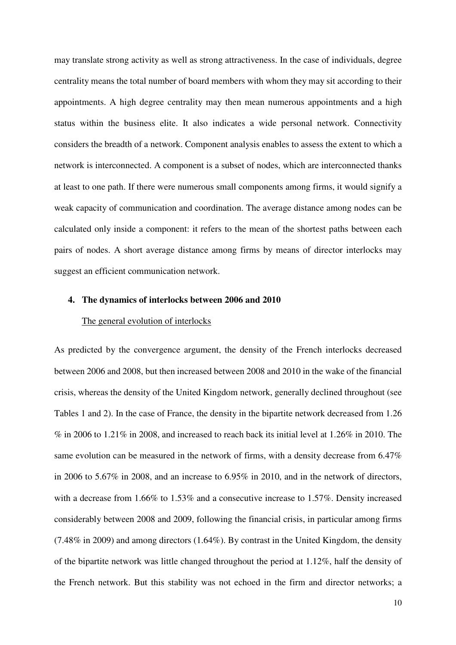may translate strong activity as well as strong attractiveness. In the case of individuals, degree centrality means the total number of board members with whom they may sit according to their appointments. A high degree centrality may then mean numerous appointments and a high status within the business elite. It also indicates a wide personal network. Connectivity considers the breadth of a network. Component analysis enables to assess the extent to which a network is interconnected. A component is a subset of nodes, which are interconnected thanks at least to one path. If there were numerous small components among firms, it would signify a weak capacity of communication and coordination. The average distance among nodes can be calculated only inside a component: it refers to the mean of the shortest paths between each pairs of nodes. A short average distance among firms by means of director interlocks may suggest an efficient communication network.

#### **4. The dynamics of interlocks between 2006 and 2010**

#### The general evolution of interlocks

As predicted by the convergence argument, the density of the French interlocks decreased between 2006 and 2008, but then increased between 2008 and 2010 in the wake of the financial crisis, whereas the density of the United Kingdom network, generally declined throughout (see Tables 1 and 2). In the case of France, the density in the bipartite network decreased from 1.26 % in 2006 to 1.21% in 2008, and increased to reach back its initial level at 1.26% in 2010. The same evolution can be measured in the network of firms, with a density decrease from 6.47% in 2006 to 5.67% in 2008, and an increase to 6.95% in 2010, and in the network of directors, with a decrease from 1.66% to 1.53% and a consecutive increase to 1.57%. Density increased considerably between 2008 and 2009, following the financial crisis, in particular among firms (7.48% in 2009) and among directors (1.64%). By contrast in the United Kingdom, the density of the bipartite network was little changed throughout the period at 1.12%, half the density of the French network. But this stability was not echoed in the firm and director networks; a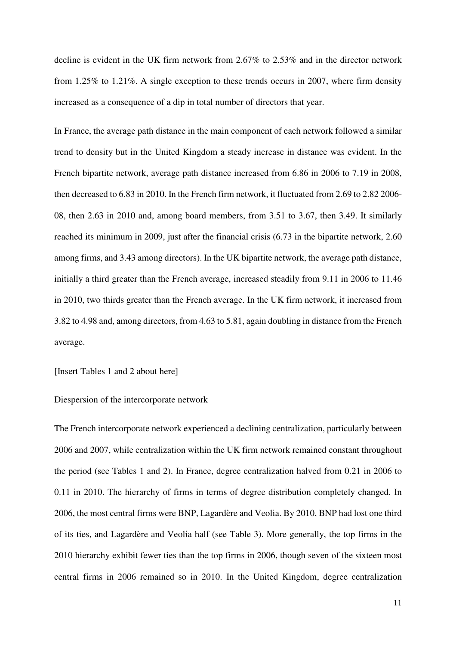decline is evident in the UK firm network from 2.67% to 2.53% and in the director network from 1.25% to 1.21%. A single exception to these trends occurs in 2007, where firm density increased as a consequence of a dip in total number of directors that year.

In France, the average path distance in the main component of each network followed a similar trend to density but in the United Kingdom a steady increase in distance was evident. In the French bipartite network, average path distance increased from 6.86 in 2006 to 7.19 in 2008, then decreased to 6.83 in 2010. In the French firm network, it fluctuated from 2.69 to 2.82 2006- 08, then 2.63 in 2010 and, among board members, from 3.51 to 3.67, then 3.49. It similarly reached its minimum in 2009, just after the financial crisis (6.73 in the bipartite network, 2.60 among firms, and 3.43 among directors). In the UK bipartite network, the average path distance, initially a third greater than the French average, increased steadily from 9.11 in 2006 to 11.46 in 2010, two thirds greater than the French average. In the UK firm network, it increased from 3.82 to 4.98 and, among directors, from 4.63 to 5.81, again doubling in distance from the French average.

#### [Insert Tables 1 and 2 about here]

#### Diespersion of the intercorporate network

The French intercorporate network experienced a declining centralization, particularly between 2006 and 2007, while centralization within the UK firm network remained constant throughout the period (see Tables 1 and 2). In France, degree centralization halved from 0.21 in 2006 to 0.11 in 2010. The hierarchy of firms in terms of degree distribution completely changed. In 2006, the most central firms were BNP, Lagardère and Veolia. By 2010, BNP had lost one third of its ties, and Lagardère and Veolia half (see Table 3). More generally, the top firms in the 2010 hierarchy exhibit fewer ties than the top firms in 2006, though seven of the sixteen most central firms in 2006 remained so in 2010. In the United Kingdom, degree centralization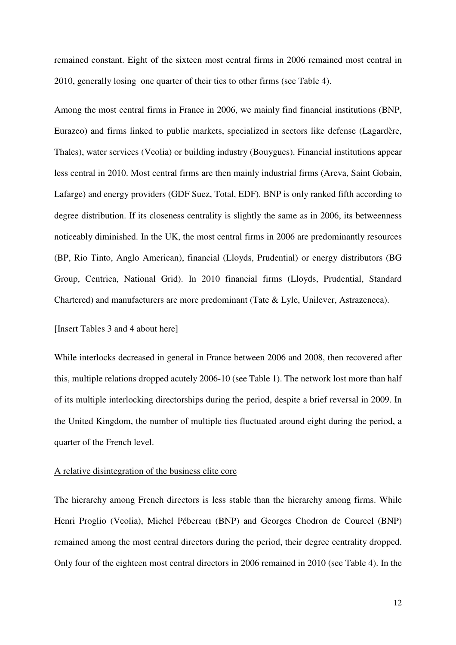remained constant. Eight of the sixteen most central firms in 2006 remained most central in 2010, generally losing one quarter of their ties to other firms (see Table 4).

Among the most central firms in France in 2006, we mainly find financial institutions (BNP, Eurazeo) and firms linked to public markets, specialized in sectors like defense (Lagardère, Thales), water services (Veolia) or building industry (Bouygues). Financial institutions appear less central in 2010. Most central firms are then mainly industrial firms (Areva, Saint Gobain, Lafarge) and energy providers (GDF Suez, Total, EDF). BNP is only ranked fifth according to degree distribution. If its closeness centrality is slightly the same as in 2006, its betweenness noticeably diminished. In the UK, the most central firms in 2006 are predominantly resources (BP, Rio Tinto, Anglo American), financial (Lloyds, Prudential) or energy distributors (BG Group, Centrica, National Grid). In 2010 financial firms (Lloyds, Prudential, Standard Chartered) and manufacturers are more predominant (Tate & Lyle, Unilever, Astrazeneca).

### [Insert Tables 3 and 4 about here]

While interlocks decreased in general in France between 2006 and 2008, then recovered after this, multiple relations dropped acutely 2006-10 (see Table 1). The network lost more than half of its multiple interlocking directorships during the period, despite a brief reversal in 2009. In the United Kingdom, the number of multiple ties fluctuated around eight during the period, a quarter of the French level.

#### A relative disintegration of the business elite core

The hierarchy among French directors is less stable than the hierarchy among firms. While Henri Proglio (Veolia), Michel Pébereau (BNP) and Georges Chodron de Courcel (BNP) remained among the most central directors during the period, their degree centrality dropped. Only four of the eighteen most central directors in 2006 remained in 2010 (see Table 4). In the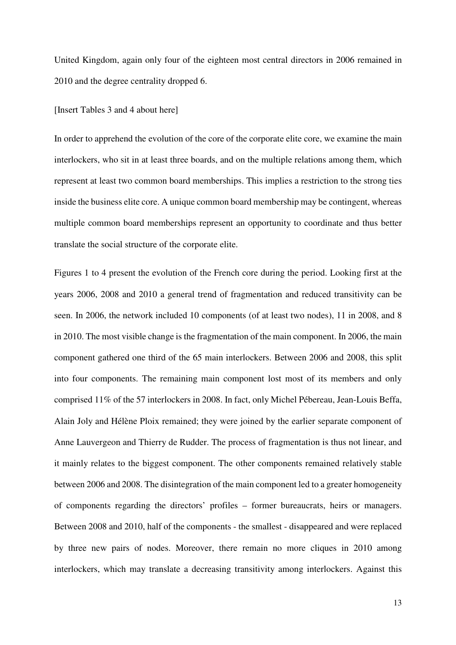United Kingdom, again only four of the eighteen most central directors in 2006 remained in 2010 and the degree centrality dropped 6.

#### [Insert Tables 3 and 4 about here]

In order to apprehend the evolution of the core of the corporate elite core, we examine the main interlockers, who sit in at least three boards, and on the multiple relations among them, which represent at least two common board memberships. This implies a restriction to the strong ties inside the business elite core. A unique common board membership may be contingent, whereas multiple common board memberships represent an opportunity to coordinate and thus better translate the social structure of the corporate elite.

Figures 1 to 4 present the evolution of the French core during the period. Looking first at the years 2006, 2008 and 2010 a general trend of fragmentation and reduced transitivity can be seen. In 2006, the network included 10 components (of at least two nodes), 11 in 2008, and 8 in 2010. The most visible change is the fragmentation of the main component. In 2006, the main component gathered one third of the 65 main interlockers. Between 2006 and 2008, this split into four components. The remaining main component lost most of its members and only comprised 11% of the 57 interlockers in 2008. In fact, only Michel Pébereau, Jean-Louis Beffa, Alain Joly and Hélène Ploix remained; they were joined by the earlier separate component of Anne Lauvergeon and Thierry de Rudder. The process of fragmentation is thus not linear, and it mainly relates to the biggest component. The other components remained relatively stable between 2006 and 2008. The disintegration of the main component led to a greater homogeneity of components regarding the directors' profiles – former bureaucrats, heirs or managers. Between 2008 and 2010, half of the components - the smallest - disappeared and were replaced by three new pairs of nodes. Moreover, there remain no more cliques in 2010 among interlockers, which may translate a decreasing transitivity among interlockers. Against this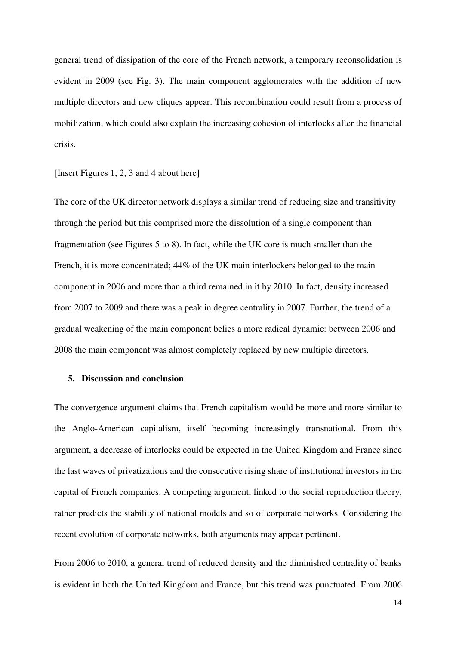general trend of dissipation of the core of the French network, a temporary reconsolidation is evident in 2009 (see Fig. 3). The main component agglomerates with the addition of new multiple directors and new cliques appear. This recombination could result from a process of mobilization, which could also explain the increasing cohesion of interlocks after the financial crisis.

[Insert Figures 1, 2, 3 and 4 about here]

The core of the UK director network displays a similar trend of reducing size and transitivity through the period but this comprised more the dissolution of a single component than fragmentation (see Figures 5 to 8). In fact, while the UK core is much smaller than the French, it is more concentrated; 44% of the UK main interlockers belonged to the main component in 2006 and more than a third remained in it by 2010. In fact, density increased from 2007 to 2009 and there was a peak in degree centrality in 2007. Further, the trend of a gradual weakening of the main component belies a more radical dynamic: between 2006 and 2008 the main component was almost completely replaced by new multiple directors.

#### **5. Discussion and conclusion**

The convergence argument claims that French capitalism would be more and more similar to the Anglo-American capitalism, itself becoming increasingly transnational. From this argument, a decrease of interlocks could be expected in the United Kingdom and France since the last waves of privatizations and the consecutive rising share of institutional investors in the capital of French companies. A competing argument, linked to the social reproduction theory, rather predicts the stability of national models and so of corporate networks. Considering the recent evolution of corporate networks, both arguments may appear pertinent.

From 2006 to 2010, a general trend of reduced density and the diminished centrality of banks is evident in both the United Kingdom and France, but this trend was punctuated. From 2006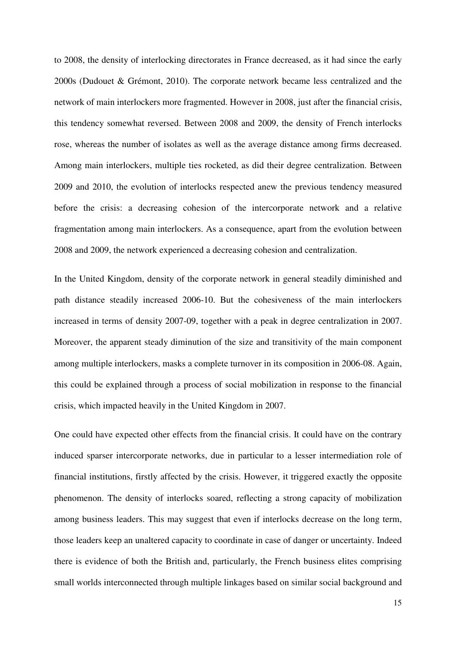to 2008, the density of interlocking directorates in France decreased, as it had since the early 2000s (Dudouet & Grémont, 2010). The corporate network became less centralized and the network of main interlockers more fragmented. However in 2008, just after the financial crisis, this tendency somewhat reversed. Between 2008 and 2009, the density of French interlocks rose, whereas the number of isolates as well as the average distance among firms decreased. Among main interlockers, multiple ties rocketed, as did their degree centralization. Between 2009 and 2010, the evolution of interlocks respected anew the previous tendency measured before the crisis: a decreasing cohesion of the intercorporate network and a relative fragmentation among main interlockers. As a consequence, apart from the evolution between 2008 and 2009, the network experienced a decreasing cohesion and centralization.

In the United Kingdom, density of the corporate network in general steadily diminished and path distance steadily increased 2006-10. But the cohesiveness of the main interlockers increased in terms of density 2007-09, together with a peak in degree centralization in 2007. Moreover, the apparent steady diminution of the size and transitivity of the main component among multiple interlockers, masks a complete turnover in its composition in 2006-08. Again, this could be explained through a process of social mobilization in response to the financial crisis, which impacted heavily in the United Kingdom in 2007.

One could have expected other effects from the financial crisis. It could have on the contrary induced sparser intercorporate networks, due in particular to a lesser intermediation role of financial institutions, firstly affected by the crisis. However, it triggered exactly the opposite phenomenon. The density of interlocks soared, reflecting a strong capacity of mobilization among business leaders. This may suggest that even if interlocks decrease on the long term, those leaders keep an unaltered capacity to coordinate in case of danger or uncertainty. Indeed there is evidence of both the British and, particularly, the French business elites comprising small worlds interconnected through multiple linkages based on similar social background and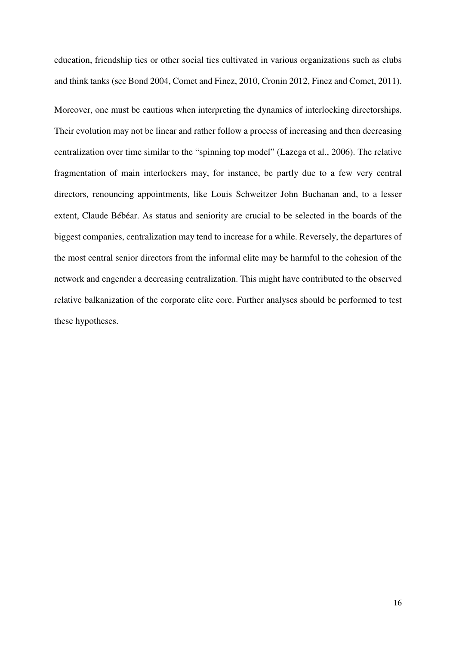education, friendship ties or other social ties cultivated in various organizations such as clubs and think tanks (see Bond 2004, Comet and Finez, 2010, Cronin 2012, Finez and Comet, 2011).

Moreover, one must be cautious when interpreting the dynamics of interlocking directorships. Their evolution may not be linear and rather follow a process of increasing and then decreasing centralization over time similar to the "spinning top model" (Lazega et al., 2006). The relative fragmentation of main interlockers may, for instance, be partly due to a few very central directors, renouncing appointments, like Louis Schweitzer John Buchanan and, to a lesser extent, Claude Bébéar. As status and seniority are crucial to be selected in the boards of the biggest companies, centralization may tend to increase for a while. Reversely, the departures of the most central senior directors from the informal elite may be harmful to the cohesion of the network and engender a decreasing centralization. This might have contributed to the observed relative balkanization of the corporate elite core. Further analyses should be performed to test these hypotheses.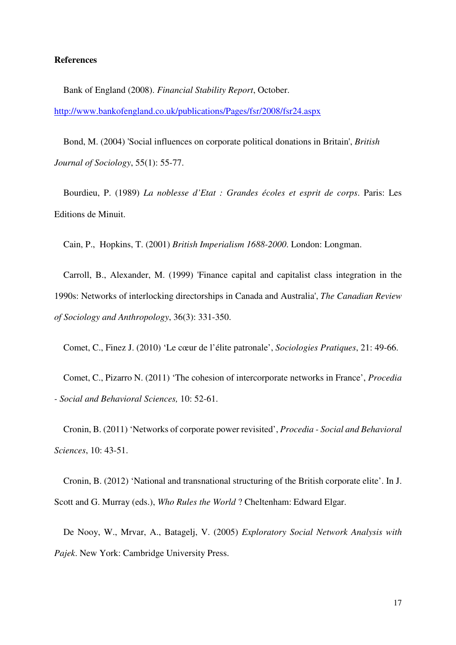#### **References**

Bank of England (2008). *Financial Stability Report*, October. http://www.bankofengland.co.uk/publications/Pages/fsr/2008/fsr24.aspx

Bond, M. (2004) 'Social influences on corporate political donations in Britain', *British Journal of Sociology*, 55(1): 55-77.

Bourdieu, P. (1989) *La noblesse d'Etat : Grandes écoles et esprit de corps*. Paris: Les Editions de Minuit.

Cain, P., Hopkins, T. (2001) *British Imperialism 1688-2000*. London: Longman.

Carroll, B., Alexander, M. (1999) 'Finance capital and capitalist class integration in the 1990s: Networks of interlocking directorships in Canada and Australia', *The Canadian Review of Sociology and Anthropology*, 36(3): 331-350.

Comet, C., Finez J. (2010) 'Le cœur de l'élite patronale', *Sociologies Pratiques*, 21: 49-66.

Comet, C., Pizarro N. (2011) 'The cohesion of intercorporate networks in France', *Procedia - Social and Behavioral Sciences,* 10: 52-61.

Cronin, B. (2011) 'Networks of corporate power revisited', *Procedia - Social and Behavioral Sciences*, 10: 43-51.

Cronin, B. (2012) 'National and transnational structuring of the British corporate elite'. In J. Scott and G. Murray (eds.), *Who Rules the World* ? Cheltenham: Edward Elgar.

De Nooy, W., Mrvar, A., Batagelj, V. (2005) *Exploratory Social Network Analysis with Pajek*. New York: Cambridge University Press.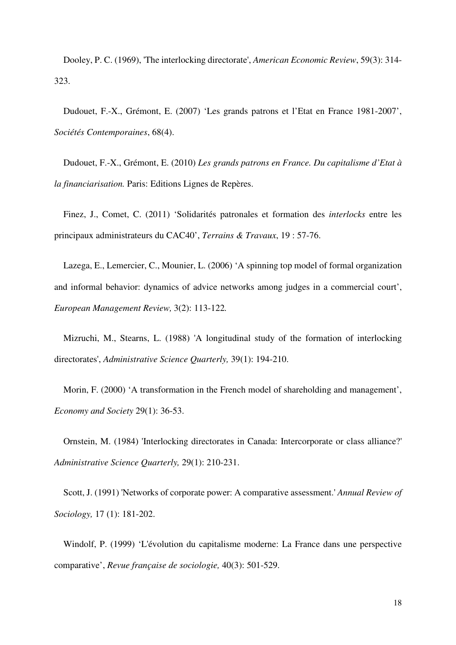Dooley, P. C. (1969), 'The interlocking directorate', *American Economic Review*, 59(3): 314- 323.

Dudouet, F.-X., Grémont, E. (2007) 'Les grands patrons et l'Etat en France 1981-2007', *Sociétés Contemporaines*, 68(4).

Dudouet, F.-X., Grémont, E. (2010) *Les grands patrons en France. Du capitalisme d'Etat à la financiarisation.* Paris: Editions Lignes de Repères.

Finez, J., Comet, C. (2011) 'Solidarités patronales et formation des *interlocks* entre les principaux administrateurs du CAC40', *Terrains & Travaux*, 19 : 57-76.

Lazega, E., Lemercier, C., Mounier, L. (2006) 'A spinning top model of formal organization and informal behavior: dynamics of advice networks among judges in a commercial court', *European Management Review,* 3(2): 113-122*.* 

Mizruchi, M., Stearns, L. (1988) 'A longitudinal study of the formation of interlocking directorates', *Administrative Science Quarterly,* 39(1): 194-210.

Morin, F. (2000) 'A transformation in the French model of shareholding and management', *Economy and Society* 29(1): 36-53.

Ornstein, M. (1984) 'Interlocking directorates in Canada: Intercorporate or class alliance?' *Administrative Science Quarterly,* 29(1): 210-231.

Scott, J. (1991) 'Networks of corporate power: A comparative assessment.' *Annual Review of Sociology,* 17 (1): 181-202.

Windolf, P. (1999) 'L'évolution du capitalisme moderne: La France dans une perspective comparative', *Revue française de sociologie,* 40(3): 501-529.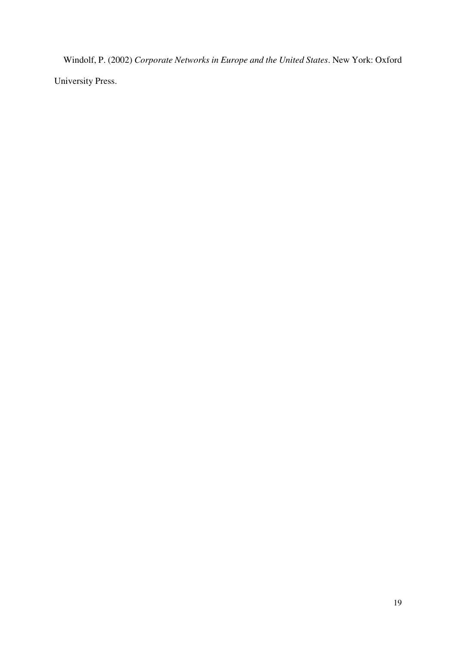Windolf, P. (2002) *Corporate Networks in Europe and the United States*. New York: Oxford University Press.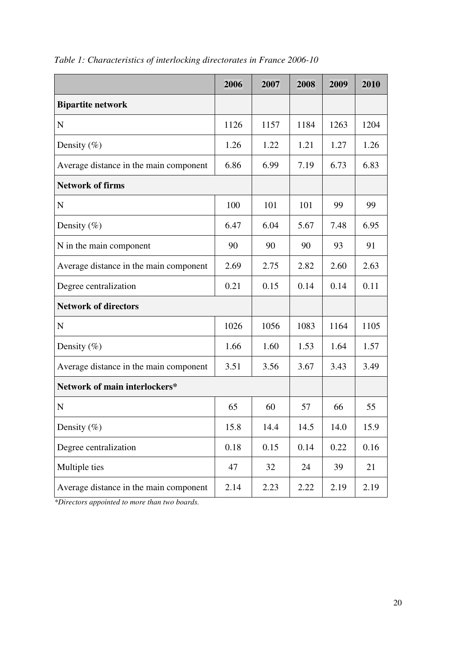|                                        | 2006 | 2007 | 2008 | 2009 | 2010 |
|----------------------------------------|------|------|------|------|------|
| <b>Bipartite network</b>               |      |      |      |      |      |
| N                                      | 1126 | 1157 | 1184 | 1263 | 1204 |
| Density $(\%)$                         | 1.26 | 1.22 | 1.21 | 1.27 | 1.26 |
| Average distance in the main component | 6.86 | 6.99 | 7.19 | 6.73 | 6.83 |
| <b>Network of firms</b>                |      |      |      |      |      |
| $\mathbf N$                            | 100  | 101  | 101  | 99   | 99   |
| Density $(\%)$                         | 6.47 | 6.04 | 5.67 | 7.48 | 6.95 |
| N in the main component                | 90   | 90   | 90   | 93   | 91   |
| Average distance in the main component | 2.69 | 2.75 | 2.82 | 2.60 | 2.63 |
| Degree centralization                  | 0.21 | 0.15 | 0.14 | 0.14 | 0.11 |
| <b>Network of directors</b>            |      |      |      |      |      |
| $\mathbf N$                            | 1026 | 1056 | 1083 | 1164 | 1105 |
| Density $(\%)$                         | 1.66 | 1.60 | 1.53 | 1.64 | 1.57 |
| Average distance in the main component | 3.51 | 3.56 | 3.67 | 3.43 | 3.49 |
| Network of main interlockers*          |      |      |      |      |      |
| $\mathbf N$                            | 65   | 60   | 57   | 66   | 55   |
| Density $(\% )$                        | 15.8 | 14.4 | 14.5 | 14.0 | 15.9 |
| Degree centralization                  | 0.18 | 0.15 | 0.14 | 0.22 | 0.16 |
| Multiple ties                          | 47   | 32   | 24   | 39   | 21   |
| Average distance in the main component | 2.14 | 2.23 | 2.22 | 2.19 | 2.19 |

*Table 1: Characteristics of interlocking directorates in France 2006-10* 

*\*Directors appointed to more than two boards.*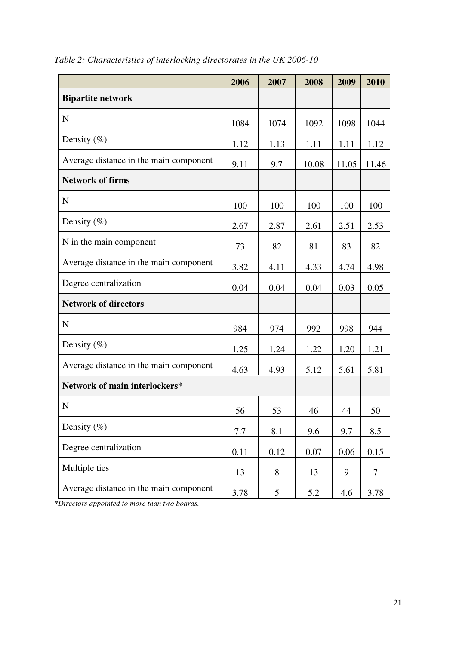|                                        | 2006 | 2007            | 2008  | 2009  | 2010  |
|----------------------------------------|------|-----------------|-------|-------|-------|
| <b>Bipartite network</b>               |      |                 |       |       |       |
| $\mathbf N$                            | 1084 | 1074            | 1092  | 1098  | 1044  |
| Density $(\%)$                         | 1.12 | 1.13            | 1.11  | 1.11  | 1.12  |
| Average distance in the main component | 9.11 | 9.7             | 10.08 | 11.05 | 11.46 |
| <b>Network of firms</b>                |      |                 |       |       |       |
| $\mathbf N$                            | 100  | 100             | 100   | 100   | 100   |
| Density $(\%)$                         | 2.67 | 2.87            | 2.61  | 2.51  | 2.53  |
| N in the main component                | 73   | 82              | 81    | 83    | 82    |
| Average distance in the main component | 3.82 | 4.11            | 4.33  | 4.74  | 4.98  |
| Degree centralization                  | 0.04 | 0.04            | 0.04  | 0.03  | 0.05  |
| <b>Network of directors</b>            |      |                 |       |       |       |
| $\mathbf N$                            | 984  | 974             | 992   | 998   | 944   |
| Density $(\%)$                         | 1.25 | 1.24            | 1.22  | 1.20  | 1.21  |
| Average distance in the main component | 4.63 | 4.93            | 5.12  | 5.61  | 5.81  |
| Network of main interlockers*          |      |                 |       |       |       |
| $\mathbf N$                            | 56   | 53              | 46    | 44    | 50    |
| Density $(\% )$                        | 7.7  | 8.1             | 9.6   | 9.7   | 8.5   |
| Degree centralization                  | 0.11 | 0.12            | 0.07  | 0.06  | 0.15  |
| Multiple ties                          | 13   | 8               | 13    | 9     | 7     |
| Average distance in the main component | 3.78 | $5\overline{)}$ | 5.2   | 4.6   | 3.78  |

*Table 2: Characteristics of interlocking directorates in the UK 2006-10* 

*\*Directors appointed to more than two boards.*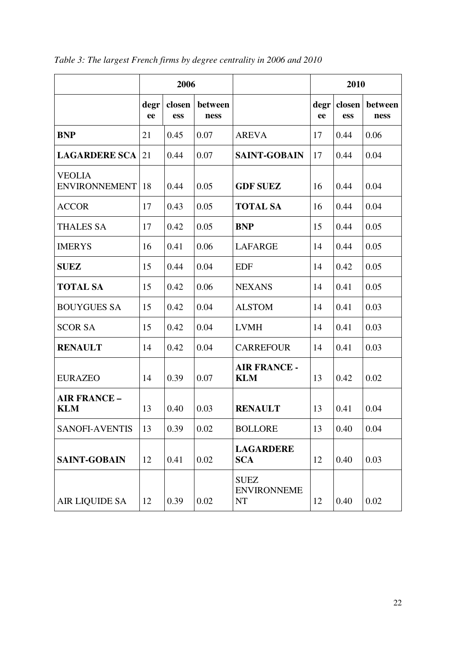|                                       |            | 2006          |                 |                                                | 2010       |               |                 |
|---------------------------------------|------------|---------------|-----------------|------------------------------------------------|------------|---------------|-----------------|
|                                       | degr<br>ee | closen<br>ess | between<br>ness |                                                | degr<br>ee | closen<br>ess | between<br>ness |
| <b>BNP</b>                            | 21         | 0.45          | 0.07            | <b>AREVA</b>                                   | 17         | 0.44          | 0.06            |
| <b>LAGARDERE SCA</b>                  | 21         | 0.44          | 0.07            | <b>SAINT-GOBAIN</b>                            | 17         | 0.44          | 0.04            |
| <b>VEOLIA</b><br><b>ENVIRONNEMENT</b> | 18         | 0.44          | 0.05            | <b>GDF SUEZ</b>                                | 16         | 0.44          | 0.04            |
| <b>ACCOR</b>                          | 17         | 0.43          | 0.05            | <b>TOTAL SA</b>                                | 16         | 0.44          | 0.04            |
| <b>THALES SA</b>                      | 17         | 0.42          | 0.05            | <b>BNP</b>                                     | 15         | 0.44          | 0.05            |
| <b>IMERYS</b>                         | 16         | 0.41          | 0.06            | <b>LAFARGE</b>                                 | 14         | 0.44          | 0.05            |
| <b>SUEZ</b>                           | 15         | 0.44          | 0.04            | <b>EDF</b>                                     | 14         | 0.42          | 0.05            |
| <b>TOTAL SA</b>                       | 15         | 0.42          | 0.06            | <b>NEXANS</b>                                  | 14         | 0.41          | 0.05            |
| <b>BOUYGUES SA</b>                    | 15         | 0.42          | 0.04            | <b>ALSTOM</b>                                  | 14         | 0.41          | 0.03            |
| <b>SCOR SA</b>                        | 15         | 0.42          | 0.04            | <b>LVMH</b>                                    | 14         | 0.41          | 0.03            |
| <b>RENAULT</b>                        | 14         | 0.42          | 0.04            | <b>CARREFOUR</b>                               | 14         | 0.41          | 0.03            |
| <b>EURAZEO</b>                        | 14         | 0.39          | 0.07            | <b>AIR FRANCE -</b><br><b>KLM</b>              | 13         | 0.42          | 0.02            |
| <b>AIR FRANCE -</b><br><b>KLM</b>     | 13         | 0.40          | 0.03            | <b>RENAULT</b>                                 | 13         | 0.41          | 0.04            |
| <b>SANOFI-AVENTIS</b>                 | 13         | 0.39          | 0.02            | <b>BOLLORE</b>                                 | 13         | 0.40          | 0.04            |
| <b>SAINT-GOBAIN</b>                   | 12         | 0.41          | 0.02            | <b>LAGARDERE</b><br><b>SCA</b>                 | 12         | 0.40          | 0.03            |
| <b>AIR LIQUIDE SA</b>                 | 12         | 0.39          | 0.02            | <b>SUEZ</b><br><b>ENVIRONNEME</b><br><b>NT</b> | 12         | 0.40          | 0.02            |

*Table 3: The largest French firms by degree centrality in 2006 and 2010*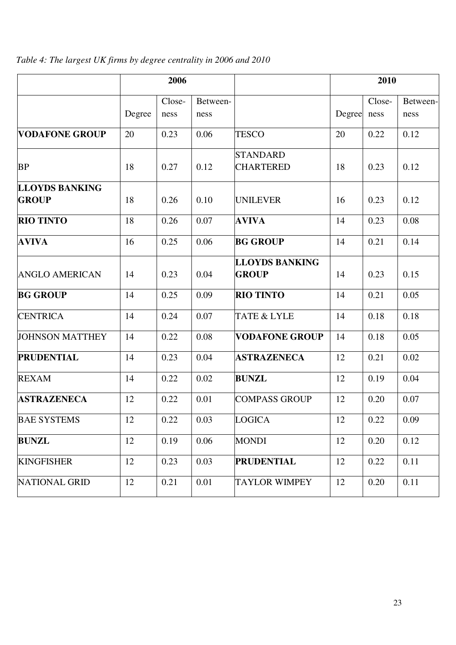*Table 4: The largest UK firms by degree centrality in 2006 and 2010* 

|                                       | 2006   |        |          | 2010                                  |        |        |          |
|---------------------------------------|--------|--------|----------|---------------------------------------|--------|--------|----------|
|                                       |        | Close- | Between- |                                       |        | Close- | Between- |
|                                       | Degree | ness   | ness     |                                       | Degree | ness   | ness     |
| <b>VODAFONE GROUP</b>                 | 20     | 0.23   | 0.06     | <b>TESCO</b>                          | 20     | 0.22   | 0.12     |
| <b>BP</b>                             | 18     | 0.27   | 0.12     | <b>STANDARD</b><br><b>CHARTERED</b>   | 18     | 0.23   | 0.12     |
| <b>LLOYDS BANKING</b><br><b>GROUP</b> | 18     | 0.26   | 0.10     | <b>UNILEVER</b>                       | 16     | 0.23   | 0.12     |
| <b>RIO TINTO</b>                      | 18     | 0.26   | 0.07     | <b>AVIVA</b>                          | 14     | 0.23   | 0.08     |
| <b>AVIVA</b>                          | 16     | 0.25   | 0.06     | <b>BG GROUP</b>                       | 14     | 0.21   | 0.14     |
| <b>ANGLO AMERICAN</b>                 | 14     | 0.23   | 0.04     | <b>LLOYDS BANKING</b><br><b>GROUP</b> | 14     | 0.23   | 0.15     |
| <b>BG GROUP</b>                       | 14     | 0.25   | 0.09     | <b>RIO TINTO</b>                      | 14     | 0.21   | 0.05     |
| <b>CENTRICA</b>                       | 14     | 0.24   | 0.07     | TATE & LYLE                           | 14     | 0.18   | 0.18     |
| <b>JOHNSON MATTHEY</b>                | 14     | 0.22   | 0.08     | <b>VODAFONE GROUP</b>                 | 14     | 0.18   | 0.05     |
| <b>PRUDENTIAL</b>                     | 14     | 0.23   | 0.04     | <b>ASTRAZENECA</b>                    | 12     | 0.21   | 0.02     |
| <b>REXAM</b>                          | 14     | 0.22   | 0.02     | <b>BUNZL</b>                          | 12     | 0.19   | 0.04     |
| <b>ASTRAZENECA</b>                    | 12     | 0.22   | 0.01     | <b>COMPASS GROUP</b>                  | 12     | 0.20   | 0.07     |
| <b>BAE SYSTEMS</b>                    | 12     | 0.22   | 0.03     | <b>LOGICA</b>                         | 12     | 0.22   | 0.09     |
| <b>BUNZL</b>                          | 12     | 0.19   | 0.06     | <b>MONDI</b>                          | 12     | 0.20   | 0.12     |
| <b>KINGFISHER</b>                     | 12     | 0.23   | 0.03     | <b>PRUDENTIAL</b>                     | 12     | 0.22   | 0.11     |
| <b>NATIONAL GRID</b>                  | 12     | 0.21   | 0.01     | <b>TAYLOR WIMPEY</b>                  | 12     | 0.20   | 0.11     |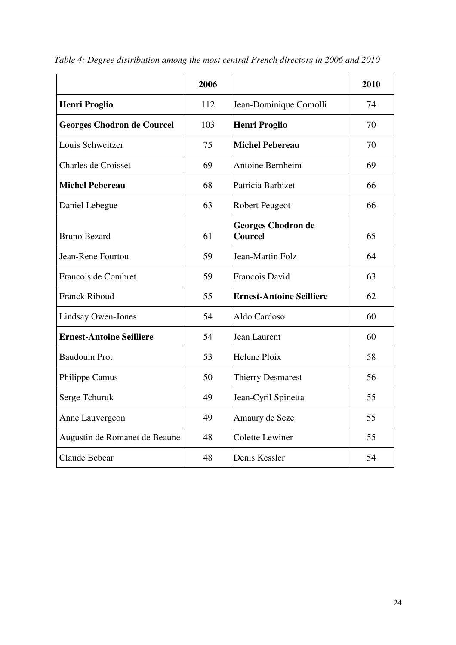|                                   | 2006 |                                             | 2010 |
|-----------------------------------|------|---------------------------------------------|------|
| <b>Henri Proglio</b>              | 112  | Jean-Dominique Comolli                      | 74   |
| <b>Georges Chodron de Courcel</b> | 103  | <b>Henri Proglio</b>                        | 70   |
| Louis Schweitzer                  | 75   | <b>Michel Pebereau</b>                      | 70   |
| <b>Charles de Croisset</b>        | 69   | Antoine Bernheim                            | 69   |
| <b>Michel Pebereau</b>            | 68   | Patricia Barbizet                           | 66   |
| Daniel Lebegue                    | 63   | <b>Robert Peugeot</b>                       | 66   |
| <b>Bruno Bezard</b>               | 61   | <b>Georges Chodron de</b><br><b>Courcel</b> | 65   |
| Jean-Rene Fourtou                 | 59   | Jean-Martin Folz                            | 64   |
| Francois de Combret               | 59   | Francois David                              | 63   |
| <b>Franck Riboud</b>              | 55   | <b>Ernest-Antoine Seilliere</b>             | 62   |
| <b>Lindsay Owen-Jones</b>         | 54   | Aldo Cardoso                                | 60   |
| <b>Ernest-Antoine Seilliere</b>   | 54   | Jean Laurent                                | 60   |
| <b>Baudouin Prot</b>              | 53   | Helene Ploix                                | 58   |
| Philippe Camus                    | 50   | Thierry Desmarest                           | 56   |
| Serge Tchuruk                     | 49   | Jean-Cyril Spinetta                         | 55   |
| Anne Lauvergeon                   | 49   | Amaury de Seze                              | 55   |
| Augustin de Romanet de Beaune     | 48   | <b>Colette Lewiner</b>                      | 55   |
| Claude Bebear                     | 48   | Denis Kessler                               | 54   |

*Table 4: Degree distribution among the most central French directors in 2006 and 2010*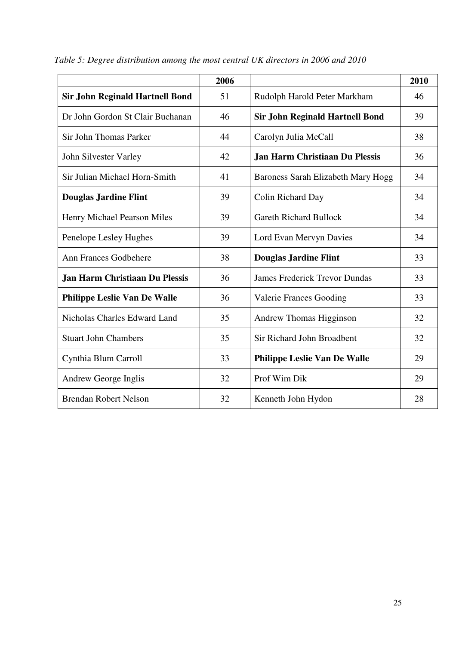|                                        | 2006 |                                        | 2010 |
|----------------------------------------|------|----------------------------------------|------|
| <b>Sir John Reginald Hartnell Bond</b> | 51   | Rudolph Harold Peter Markham           | 46   |
| Dr John Gordon St Clair Buchanan       | 46   | <b>Sir John Reginald Hartnell Bond</b> | 39   |
| Sir John Thomas Parker                 | 44   | Carolyn Julia McCall                   | 38   |
| John Silvester Varley                  | 42   | Jan Harm Christiaan Du Plessis         | 36   |
| Sir Julian Michael Horn-Smith          | 41   | Baroness Sarah Elizabeth Mary Hogg     | 34   |
| <b>Douglas Jardine Flint</b>           | 39   | Colin Richard Day                      | 34   |
| Henry Michael Pearson Miles            | 39   | <b>Gareth Richard Bullock</b>          | 34   |
| Penelope Lesley Hughes                 | 39   | Lord Evan Mervyn Davies                | 34   |
| Ann Frances Godbehere                  | 38   | <b>Douglas Jardine Flint</b>           | 33   |
| <b>Jan Harm Christiaan Du Plessis</b>  | 36   | <b>James Frederick Trevor Dundas</b>   | 33   |
| <b>Philippe Leslie Van De Walle</b>    | 36   | <b>Valerie Frances Gooding</b>         | 33   |
| Nicholas Charles Edward Land           | 35   | Andrew Thomas Higginson                | 32   |
| <b>Stuart John Chambers</b>            | 35   | Sir Richard John Broadbent             | 32   |
| Cynthia Blum Carroll                   | 33   | <b>Philippe Leslie Van De Walle</b>    | 29   |
| Andrew George Inglis                   | 32   | Prof Wim Dik                           | 29   |
| <b>Brendan Robert Nelson</b>           | 32   | Kenneth John Hydon                     | 28   |

*Table 5: Degree distribution among the most central UK directors in 2006 and 2010*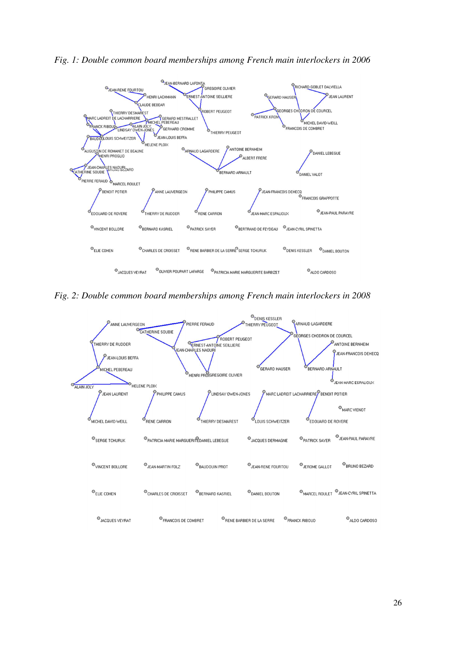



*Fig. 2: Double common board memberships among French main interlockers in 2008* 

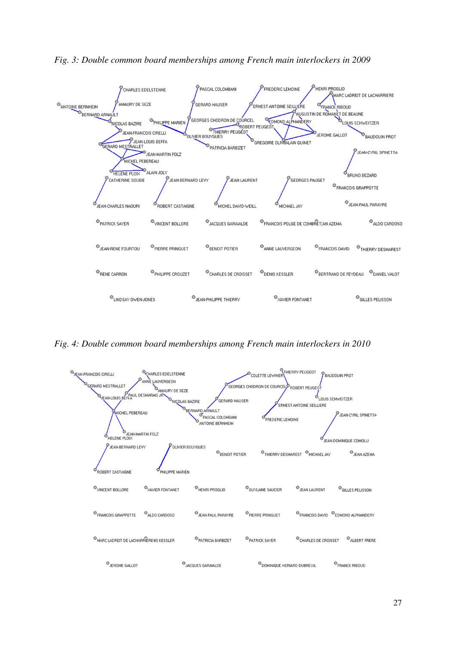

*Fig. 3: Double common board memberships among French main interlockers in 2009* 

*Fig. 4: Double common board memberships among French main interlockers in 2010* 

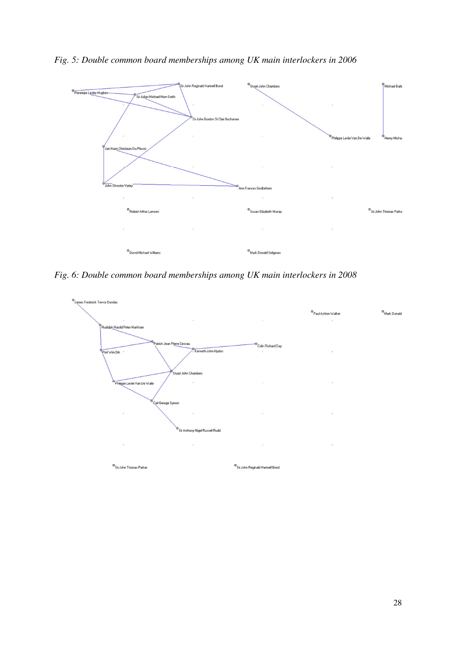

*Fig. 5: Double common board memberships among UK main interlockers in 2006* 

*Fig. 6: Double common board memberships among UK main interlockers in 2008*